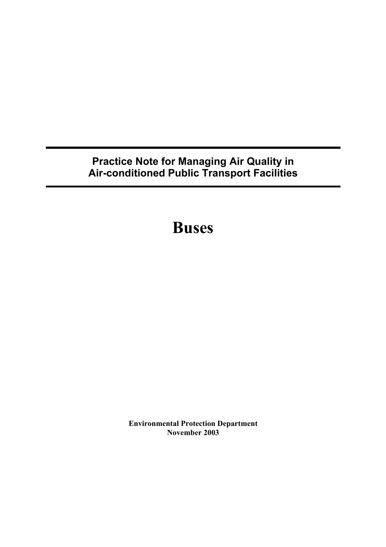# **Practice Note for Managing Air Quality in Air-conditioned Public Transport Facilities**

**Buses**

**Environmental Protection Department November 2003**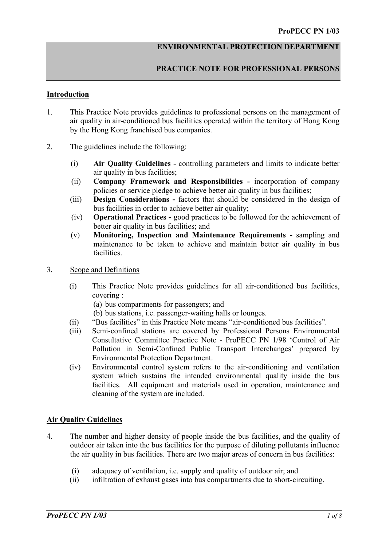#### **ENVIRONMENTAL PROTECTION DEPARTMENT**

## **PRACTICE NOTE FOR PROFESSIONAL PERSONS**

#### **Introduction**

- 1. This Practice Note provides guidelines to professional persons on the management of air quality in air-conditioned bus facilities operated within the territory of Hong Kong by the Hong Kong franchised bus companies.
- 2. The guidelines include the following:
	- (i) **Air Quality Guidelines -** controlling parameters and limits to indicate better air quality in bus facilities;
	- (ii) **Company Framework and Responsibilities** incorporation of company policies or service pledge to achieve better air quality in bus facilities;
	- (iii) **Design Considerations -** factors that should be considered in the design of bus facilities in order to achieve better air quality;
	- (iv) **Operational Practices** good practices to be followed for the achievement of better air quality in bus facilities; and
	- (v) **Monitoring, Inspection and Maintenance Requirements** sampling and maintenance to be taken to achieve and maintain better air quality in bus facilities.
- 3. Scope and Definitions
	- (i) This Practice Note provides guidelines for all air-conditioned bus facilities, covering :
		- (a) bus compartments for passengers; and
		- (b) bus stations, i.e. passenger-waiting halls or lounges.
	- (ii) "Bus facilities" in this Practice Note means "air-conditioned bus facilities".
	- (iii) Semi-confined stations are covered by Professional Persons Environmental Consultative Committee Practice Note - ProPECC PN 1/98 'Control of Air Pollution in Semi-Confined Public Transport Interchanges' prepared by Environmental Protection Department.
	- (iv) Environmental control system refers to the air-conditioning and ventilation system which sustains the intended environmental quality inside the bus facilities. All equipment and materials used in operation, maintenance and cleaning of the system are included.

#### **Air Quality Guidelines**

- 4. The number and higher density of people inside the bus facilities, and the quality of outdoor air taken into the bus facilities for the purpose of diluting pollutants influence the air quality in bus facilities. There are two major areas of concern in bus facilities:
	- (i) adequacy of ventilation, i.e. supply and quality of outdoor air; and
	- (ii) infiltration of exhaust gases into bus compartments due to short-circuiting.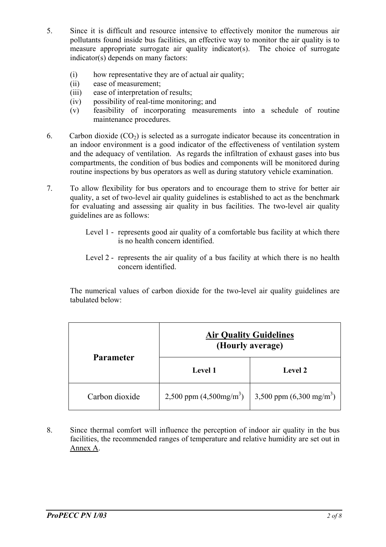- 5. Since it is difficult and resource intensive to effectively monitor the numerous air pollutants found inside bus facilities, an effective way to monitor the air quality is to measure appropriate surrogate air quality indicator(s). The choice of surrogate indicator(s) depends on many factors:
	- $(i)$  how representative they are of actual air quality;
	- (ii) ease of measurement;
	- (iii) ease of interpretation of results;
	- (iv) possibility of real-time monitoring; and
	- (v) feasibility of incorporating measurements into a schedule of routine maintenance procedures.
- 6. Carbon dioxide  $(CO_2)$  is selected as a surrogate indicator because its concentration in an indoor environment is a good indicator of the effectiveness of ventilation system and the adequacy of ventilation. As regards the infiltration of exhaust gases into bus compartments, the condition of bus bodies and components will be monitored during routine inspections by bus operators as well as during statutory vehicle examination.
- 7. To allow flexibility for bus operators and to encourage them to strive for better air quality, a set of two-level air quality guidelines is established to act as the benchmark for evaluating and assessing air quality in bus facilities. The two-level air quality guidelines are as follows:
	- Level 1 represents good air quality of a comfortable bus facility at which there is no health concern identified.
	- Level 2 represents the air quality of a bus facility at which there is no health concern identified.

The numerical values of carbon dioxide for the two-level air quality guidelines are tabulated below:

| <b>Parameter</b> | <b>Air Quality Guidelines</b><br>(Hourly average) |                                                       |
|------------------|---------------------------------------------------|-------------------------------------------------------|
|                  | <b>Level 1</b>                                    | <b>Level 2</b>                                        |
| Carbon dioxide   |                                                   | 2,500 ppm $(4,500mg/m^3)$   3,500 ppm $(6,300mg/m^3)$ |

8. Since thermal comfort will influence the perception of indoor air quality in the bus facilities, the recommended ranges of temperature and relative humidity are set out in Annex A.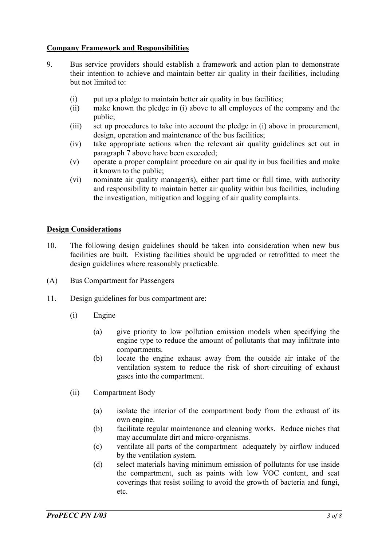## **Company Framework and Responsibilities**

- 9. Bus service providers should establish a framework and action plan to demonstrate their intention to achieve and maintain better air quality in their facilities, including but not limited to:
	- $(i)$  put up a pledge to maintain better air quality in bus facilities;
	- (ii) make known the pledge in (i) above to all employees of the company and the public;
	- (iii) set up procedures to take into account the pledge in (i) above in procurement, design, operation and maintenance of the bus facilities;
	- (iv) take appropriate actions when the relevant air quality guidelines set out in paragraph 7 above have been exceeded;
	- (v) operate a proper complaint procedure on air quality in bus facilities and make it known to the public;
	- (vi) nominate air quality manager(s), either part time or full time, with authority and responsibility to maintain better air quality within bus facilities, including the investigation, mitigation and logging of air quality complaints.

## **Design Considerations**

- 10. The following design guidelines should be taken into consideration when new bus facilities are built. Existing facilities should be upgraded or retrofitted to meet the design guidelines where reasonably practicable.
- (A) Bus Compartment for Passengers
- 11. Design guidelines for bus compartment are:
	- (i) Engine
		- (a) give priority to low pollution emission models when specifying the engine type to reduce the amount of pollutants that may infiltrate into compartments.
		- (b) locate the engine exhaust away from the outside air intake of the ventilation system to reduce the risk of short-circuiting of exhaust gases into the compartment.
	- (ii) Compartment Body
		- (a) isolate the interior of the compartment body from the exhaust of its own engine.
		- (b) facilitate regular maintenance and cleaning works. Reduce niches that may accumulate dirt and micro-organisms.
		- (c) ventilate all parts of the compartment adequately by airflow induced by the ventilation system.
		- (d) select materials having minimum emission of pollutants for use inside the compartment, such as paints with low VOC content, and seat coverings that resist soiling to avoid the growth of bacteria and fungi, etc.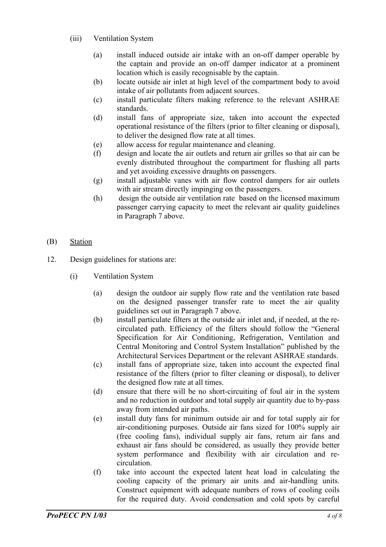- (iii) Ventilation System
	- (a) install induced outside air intake with an on-off damper operable by the captain and provide an on-off damper indicator at a prominent location which is easily recognisable by the captain.
	- (b) locate outside air inlet at high level of the compartment body to avoid intake of air pollutants from adjacent sources.
	- (c) install particulate filters making reference to the relevant ASHRAE standards.
	- (d) install fans of appropriate size, taken into account the expected operational resistance of the filters (prior to filter cleaning or disposal), to deliver the designed flow rate at all times.
	- (e) allow access for regular maintenance and cleaning.
	- (f) design and locate the air outlets and return air grilles so that air can be evenly distributed throughout the compartment for flushing all parts and yet avoiding excessive draughts on passengers.
	- (g) install adjustable vanes with air flow control dampers for air outlets with air stream directly impinging on the passengers.
	- (h) design the outside air ventilation rate based on the licensed maximum passenger carrying capacity to meet the relevant air quality guidelines in Paragraph 7 above.
- (B) Station
- 12. Design guidelines for stations are:
	- (i) Ventilation System
		- (a) design the outdoor air supply flow rate and the ventilation rate based on the designed passenger transfer rate to meet the air quality guidelines set out in Paragraph 7 above.
		- (b) install particulate filters at the outside air inlet and, if needed, at the recirculated path. Efficiency of the filters should follow the "General Specification for Air Conditioning, Refrigeration, Ventilation and Central Monitoring and Control System Installation" published by the Architectural Services Department or the relevant ASHRAE standards.
		- (c) install fans of appropriate size, taken into account the expected final resistance of the filters (prior to filter cleaning or disposal), to deliver the designed flow rate at all times.
		- (d) ensure that there will be no short-circuiting of foul air in the system and no reduction in outdoor and total supply air quantity due to by-pass away from intended air paths.
		- (e) install duty fans for minimum outside air and for total supply air for air-conditioning purposes. Outside air fans sized for 100% supply air (free cooling fans), individual supply air fans, return air fans and exhaust air fans should be considered, as usually they provide better system performance and flexibility with air circulation and recirculation.
		- (f) take into account the expected latent heat load in calculating the cooling capacity of the primary air units and air-handling units. Construct equipment with adequate numbers of rows of cooling coils for the required duty. Avoid condensation and cold spots by careful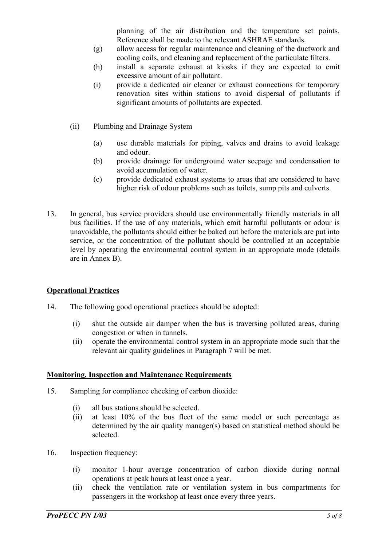planning of the air distribution and the temperature set points. Reference shall be made to the relevant ASHRAE standards.

- (g) allow access for regular maintenance and cleaning of the ductwork and cooling coils, and cleaning and replacement of the particulate filters.
- (h) install a separate exhaust at kiosks if they are expected to emit excessive amount of air pollutant.
- (i) provide a dedicated air cleaner or exhaust connections for temporary renovation sites within stations to avoid dispersal of pollutants if significant amounts of pollutants are expected.
- (ii) Plumbing and Drainage System
	- (a) use durable materials for piping, valves and drains to avoid leakage and odour.
	- (b) provide drainage for underground water seepage and condensation to avoid accumulation of water.
	- (c) provide dedicated exhaust systems to areas that are considered to have higher risk of odour problems such as toilets, sump pits and culverts.
- 13. In general, bus service providers should use environmentally friendly materials in all bus facilities. If the use of any materials, which emit harmful pollutants or odour is unavoidable, the pollutants should either be baked out before the materials are put into service, or the concentration of the pollutant should be controlled at an acceptable level by operating the environmental control system in an appropriate mode (details are in Annex B).

#### **Operational Practices**

- 14. The following good operational practices should be adopted:
	- (i) shut the outside air damper when the bus is traversing polluted areas, during congestion or when in tunnels.
	- (ii) operate the environmental control system in an appropriate mode such that the relevant air quality guidelines in Paragraph 7 will be met.

#### **Monitoring, Inspection and Maintenance Requirements**

- 15. Sampling for compliance checking of carbon dioxide:
	- (i) all bus stations should be selected.
	- (ii) at least 10% of the bus fleet of the same model or such percentage as determined by the air quality manager(s) based on statistical method should be selected.
- 16. Inspection frequency:
	- (i) monitor 1-hour average concentration of carbon dioxide during normal operations at peak hours at least once a year.
	- (ii) check the ventilation rate or ventilation system in bus compartments for passengers in the workshop at least once every three years.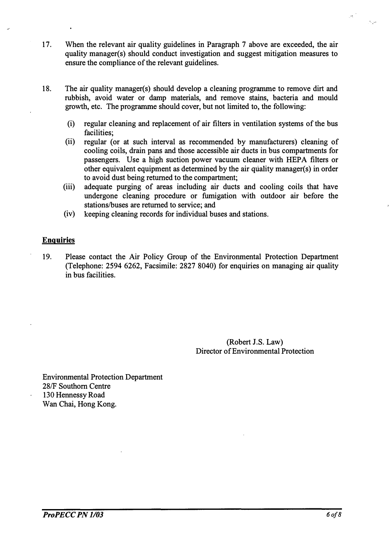- 17. When the relevant air quality guidelines in Paragraph 7 above are exceeded, the air quality manager(s) should conduct investigation and suggest mitigation measures to ensure the compliance of the relevant guidelines.
- 18. The air quality manager(s) should develop a cleaning programme to remove dirt and rubbish, avoid water or damp materials, and remove stains, bacteria and mould growth, etc. The programme should cover, but not limited to, the following:
	- (i) regular cleaning and replacement of air filters in ventilation systems of the bus facilities;
	- (ii) regular (or at such interval as recommended by manufacturers) cleaning of cooling coils, drain pans and those accessible air ducts in bus compartments for passengers. Use a high suction power vacuum cleaner with HEPA filters or other equivalent equipment as determined by the air quality manager(s) in order to avoid dust being returned to the compartment;
	- (iii) adequate purging of areas including air ducts and cooling coils that have undergone cleaning procedure or fumigation with outdoor air before the stations/buses are returned to service; and
	- (iv) keeping cleaning records for individual buses and stations.

#### Enquiries

19. Please contact the Air Policy Group of the Environmental Protection Department (Telephone: 2594 6262, Facsimile: 2827 8040) for enquiries on managing air quality in bus facilities.

> (Robert J.S. Law) Director of Environmental Protection

Environmental Protection Department 28/F Southorn Centre 130 Hennessy Road Wan Chai, Hong Kong.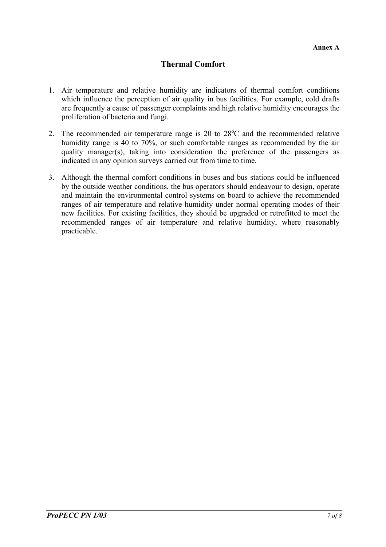# **Thermal Comfort**

- 1. Air temperature and relative humidity are indicators of thermal comfort conditions which influence the perception of air quality in bus facilities. For example, cold drafts are frequently a cause of passenger complaints and high relative humidity encourages the proliferation of bacteria and fungi.
- 2. The recommended air temperature range is 20 to  $28^{\circ}$ C and the recommended relative humidity range is 40 to 70%, or such comfortable ranges as recommended by the air quality manager(s), taking into consideration the preference of the passengers as indicated in any opinion surveys carried out from time to time.
- 3. Although the thermal comfort conditions in buses and bus stations could be influenced by the outside weather conditions, the bus operators should endeavour to design, operate and maintain the environmental control systems on board to achieve the recommended ranges of air temperature and relative humidity under normal operating modes of their new facilities. For existing facilities, they should be upgraded or retrofitted to meet the recommended ranges of air temperature and relative humidity, where reasonably practicable.